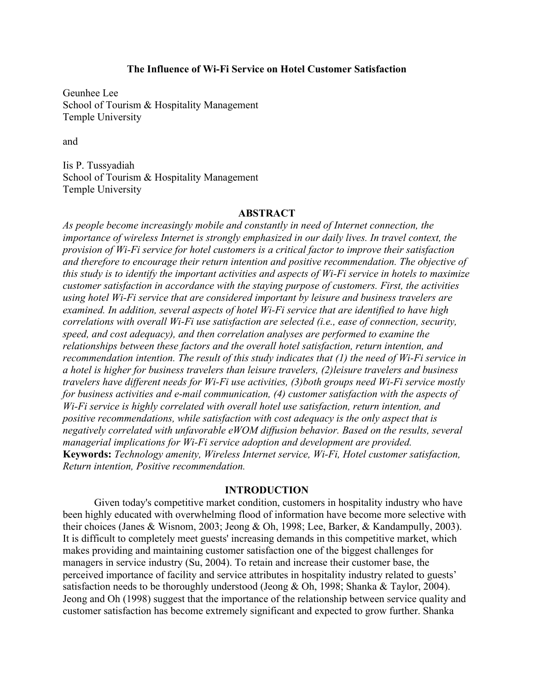# **The Influence of Wi-Fi Service on Hotel Customer Satisfaction**

Geunhee Lee School of Tourism & Hospitality Management Temple University

and

Iis P. Tussyadiah School of Tourism & Hospitality Management Temple University

### **ABSTRACT**

*As people become increasingly mobile and constantly in need of Internet connection, the importance of wireless Internet is strongly emphasized in our daily lives. In travel context, the provision of Wi-Fi service for hotel customers is a critical factor to improve their satisfaction and therefore to encourage their return intention and positive recommendation. The objective of this study is to identify the important activities and aspects of Wi-Fi service in hotels to maximize customer satisfaction in accordance with the staying purpose of customers. First, the activities using hotel Wi-Fi service that are considered important by leisure and business travelers are examined. In addition, several aspects of hotel Wi-Fi service that are identified to have high correlations with overall Wi-Fi use satisfaction are selected (i.e., ease of connection, security, speed, and cost adequacy), and then correlation analyses are performed to examine the relationships between these factors and the overall hotel satisfaction, return intention, and recommendation intention. The result of this study indicates that (1) the need of Wi-Fi service in a hotel is higher for business travelers than leisure travelers, (2)leisure travelers and business travelers have different needs for Wi-Fi use activities, (3)both groups need Wi-Fi service mostly for business activities and e-mail communication, (4) customer satisfaction with the aspects of Wi-Fi service is highly correlated with overall hotel use satisfaction, return intention, and positive recommendations, while satisfaction with cost adequacy is the only aspect that is negatively correlated with unfavorable eWOM diffusion behavior. Based on the results, several managerial implications for Wi-Fi service adoption and development are provided.* **Keywords:** *Technology amenity, Wireless Internet service, Wi-Fi, Hotel customer satisfaction, Return intention, Positive recommendation.*

# **INTRODUCTION**

Given today's competitive market condition, customers in hospitality industry who have been highly educated with overwhelming flood of information have become more selective with their choices (Janes & Wisnom, 2003; Jeong & Oh, 1998; Lee, Barker, & Kandampully, 2003). It is difficult to completely meet guests' increasing demands in this competitive market, which makes providing and maintaining customer satisfaction one of the biggest challenges for managers in service industry (Su, 2004). To retain and increase their customer base, the perceived importance of facility and service attributes in hospitality industry related to guests' satisfaction needs to be thoroughly understood (Jeong & Oh, 1998; Shanka & Taylor, 2004). Jeong and Oh (1998) suggest that the importance of the relationship between service quality and customer satisfaction has become extremely significant and expected to grow further. Shanka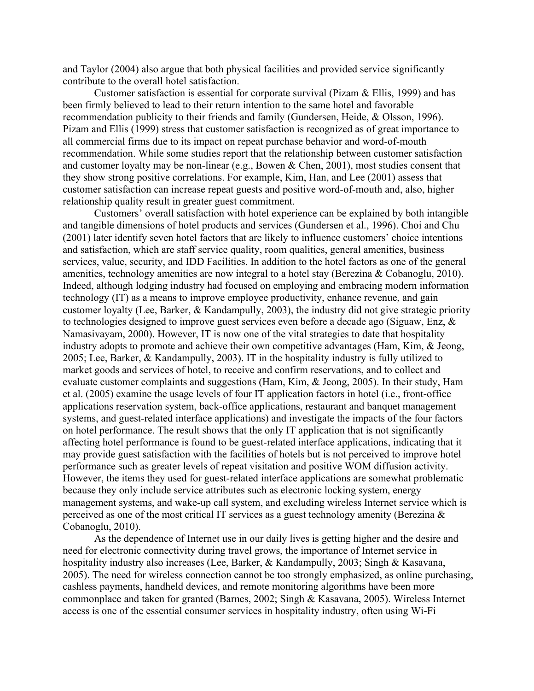and Taylor (2004) also argue that both physical facilities and provided service significantly contribute to the overall hotel satisfaction.

Customer satisfaction is essential for corporate survival (Pizam & Ellis, 1999) and has been firmly believed to lead to their return intention to the same hotel and favorable recommendation publicity to their friends and family (Gundersen, Heide, & Olsson, 1996). Pizam and Ellis (1999) stress that customer satisfaction is recognized as of great importance to all commercial firms due to its impact on repeat purchase behavior and word-of-mouth recommendation. While some studies report that the relationship between customer satisfaction and customer loyalty may be non-linear (e.g., Bowen & Chen, 2001), most studies consent that they show strong positive correlations. For example, Kim, Han, and Lee (2001) assess that customer satisfaction can increase repeat guests and positive word-of-mouth and, also, higher relationship quality result in greater guest commitment.

Customers' overall satisfaction with hotel experience can be explained by both intangible and tangible dimensions of hotel products and services (Gundersen et al., 1996). Choi and Chu (2001) later identify seven hotel factors that are likely to influence customers' choice intentions and satisfaction, which are staff service quality, room qualities, general amenities, business services, value, security, and IDD Facilities. In addition to the hotel factors as one of the general amenities, technology amenities are now integral to a hotel stay (Berezina & Cobanoglu, 2010). Indeed, although lodging industry had focused on employing and embracing modern information technology (IT) as a means to improve employee productivity, enhance revenue, and gain customer loyalty (Lee, Barker, & Kandampully, 2003), the industry did not give strategic priority to technologies designed to improve guest services even before a decade ago (Siguaw, Enz, & Namasivayam, 2000). However, IT is now one of the vital strategies to date that hospitality industry adopts to promote and achieve their own competitive advantages (Ham, Kim, & Jeong, 2005; Lee, Barker, & Kandampully, 2003). IT in the hospitality industry is fully utilized to market goods and services of hotel, to receive and confirm reservations, and to collect and evaluate customer complaints and suggestions (Ham, Kim, & Jeong, 2005). In their study, Ham et al. (2005) examine the usage levels of four IT application factors in hotel (i.e., front-office applications reservation system, back-office applications, restaurant and banquet management systems, and guest-related interface applications) and investigate the impacts of the four factors on hotel performance. The result shows that the only IT application that is not significantly affecting hotel performance is found to be guest-related interface applications, indicating that it may provide guest satisfaction with the facilities of hotels but is not perceived to improve hotel performance such as greater levels of repeat visitation and positive WOM diffusion activity. However, the items they used for guest-related interface applications are somewhat problematic because they only include service attributes such as electronic locking system, energy management systems, and wake-up call system, and excluding wireless Internet service which is perceived as one of the most critical IT services as a guest technology amenity (Berezina & Cobanoglu, 2010).

As the dependence of Internet use in our daily lives is getting higher and the desire and need for electronic connectivity during travel grows, the importance of Internet service in hospitality industry also increases (Lee, Barker, & Kandampully, 2003; Singh & Kasavana, 2005). The need for wireless connection cannot be too strongly emphasized, as online purchasing, cashless payments, handheld devices, and remote monitoring algorithms have been more commonplace and taken for granted (Barnes, 2002; Singh & Kasavana, 2005). Wireless Internet access is one of the essential consumer services in hospitality industry, often using Wi-Fi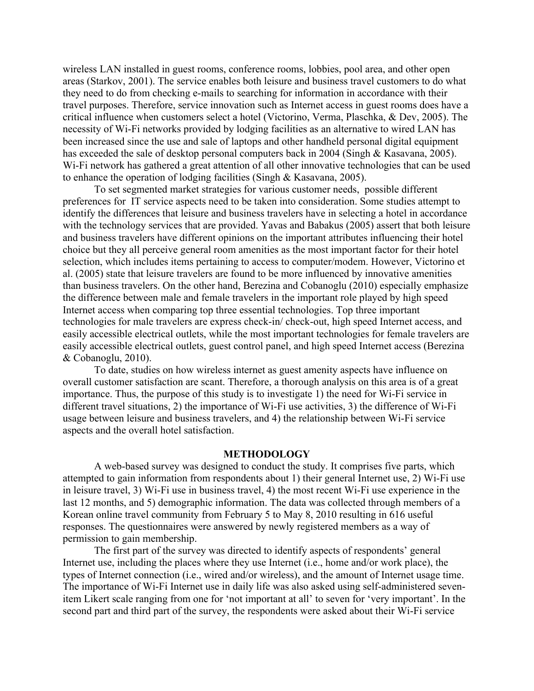wireless LAN installed in guest rooms, conference rooms, lobbies, pool area, and other open areas (Starkov, 2001). The service enables both leisure and business travel customers to do what they need to do from checking e-mails to searching for information in accordance with their travel purposes. Therefore, service innovation such as Internet access in guest rooms does have a critical influence when customers select a hotel (Victorino, Verma, Plaschka, & Dev, 2005). The necessity of Wi-Fi networks provided by lodging facilities as an alternative to wired LAN has been increased since the use and sale of laptops and other handheld personal digital equipment has exceeded the sale of desktop personal computers back in 2004 (Singh & Kasavana, 2005). Wi-Fi network has gathered a great attention of all other innovative technologies that can be used to enhance the operation of lodging facilities (Singh & Kasavana, 2005).

To set segmented market strategies for various customer needs, possible different preferences for IT service aspects need to be taken into consideration. Some studies attempt to identify the differences that leisure and business travelers have in selecting a hotel in accordance with the technology services that are provided. Yavas and Babakus (2005) assert that both leisure and business travelers have different opinions on the important attributes influencing their hotel choice but they all perceive general room amenities as the most important factor for their hotel selection, which includes items pertaining to access to computer/modem. However, Victorino et al. (2005) state that leisure travelers are found to be more influenced by innovative amenities than business travelers. On the other hand, Berezina and Cobanoglu (2010) especially emphasize the difference between male and female travelers in the important role played by high speed Internet access when comparing top three essential technologies. Top three important technologies for male travelers are express check-in/ check-out, high speed Internet access, and easily accessible electrical outlets, while the most important technologies for female travelers are easily accessible electrical outlets, guest control panel, and high speed Internet access (Berezina & Cobanoglu, 2010).

To date, studies on how wireless internet as guest amenity aspects have influence on overall customer satisfaction are scant. Therefore, a thorough analysis on this area is of a great importance. Thus, the purpose of this study is to investigate 1) the need for Wi-Fi service in different travel situations, 2) the importance of Wi-Fi use activities, 3) the difference of Wi-Fi usage between leisure and business travelers, and 4) the relationship between Wi-Fi service aspects and the overall hotel satisfaction.

### **METHODOLOGY**

A web-based survey was designed to conduct the study. It comprises five parts, which attempted to gain information from respondents about 1) their general Internet use, 2) Wi-Fi use in leisure travel, 3) Wi-Fi use in business travel, 4) the most recent Wi-Fi use experience in the last 12 months, and 5) demographic information. The data was collected through members of a Korean online travel community from February 5 to May 8, 2010 resulting in 616 useful responses. The questionnaires were answered by newly registered members as a way of permission to gain membership.

The first part of the survey was directed to identify aspects of respondents' general Internet use, including the places where they use Internet (i.e., home and/or work place), the types of Internet connection (i.e., wired and/or wireless), and the amount of Internet usage time. The importance of Wi-Fi Internet use in daily life was also asked using self-administered sevenitem Likert scale ranging from one for 'not important at all' to seven for 'very important'. In the second part and third part of the survey, the respondents were asked about their Wi-Fi service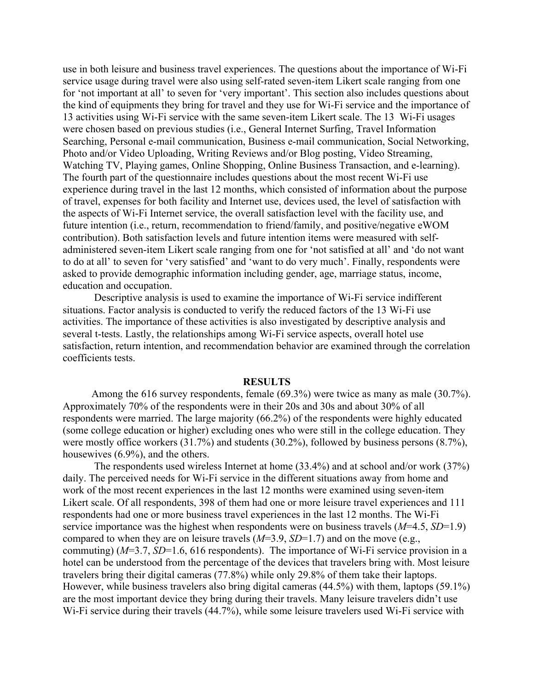use in both leisure and business travel experiences. The questions about the importance of Wi-Fi service usage during travel were also using self-rated seven-item Likert scale ranging from one for 'not important at all' to seven for 'very important'. This section also includes questions about the kind of equipments they bring for travel and they use for Wi-Fi service and the importance of 13 activities using Wi-Fi service with the same seven-item Likert scale. The 13 Wi-Fi usages were chosen based on previous studies (i.e., General Internet Surfing, Travel Information Searching, Personal e-mail communication, Business e-mail communication, Social Networking, Photo and/or Video Uploading, Writing Reviews and/or Blog posting, Video Streaming, Watching TV, Playing games, Online Shopping, Online Business Transaction, and e-learning). The fourth part of the questionnaire includes questions about the most recent Wi-Fi use experience during travel in the last 12 months, which consisted of information about the purpose of travel, expenses for both facility and Internet use, devices used, the level of satisfaction with the aspects of Wi-Fi Internet service, the overall satisfaction level with the facility use, and future intention (i.e., return, recommendation to friend/family, and positive/negative eWOM contribution). Both satisfaction levels and future intention items were measured with selfadministered seven-item Likert scale ranging from one for 'not satisfied at all' and 'do not want to do at all' to seven for 'very satisfied' and 'want to do very much'. Finally, respondents were asked to provide demographic information including gender, age, marriage status, income, education and occupation.

Descriptive analysis is used to examine the importance of Wi-Fi service indifferent situations. Factor analysis is conducted to verify the reduced factors of the 13 Wi-Fi use activities. The importance of these activities is also investigated by descriptive analysis and several t-tests. Lastly, the relationships among Wi-Fi service aspects, overall hotel use satisfaction, return intention, and recommendation behavior are examined through the correlation coefficients tests.

#### **RESULTS**

Among the 616 survey respondents, female (69.3%) were twice as many as male (30.7%). Approximately 70% of the respondents were in their 20s and 30s and about 30% of all respondents were married. The large majority (66.2%) of the respondents were highly educated (some college education or higher) excluding ones who were still in the college education. They were mostly office workers (31.7%) and students (30.2%), followed by business persons (8.7%), housewives (6.9%), and the others.

The respondents used wireless Internet at home (33.4%) and at school and/or work (37%) daily. The perceived needs for Wi-Fi service in the different situations away from home and work of the most recent experiences in the last 12 months were examined using seven-item Likert scale. Of all respondents, 398 of them had one or more leisure travel experiences and 111 respondents had one or more business travel experiences in the last 12 months. The Wi-Fi service importance was the highest when respondents were on business travels (*M*=4.5, *SD*=1.9) compared to when they are on leisure travels (*M*=3.9, *SD*=1.7) and on the move (e.g., commuting) (*M*=3.7, *SD*=1.6, 616 respondents). The importance of Wi-Fi service provision in a hotel can be understood from the percentage of the devices that travelers bring with. Most leisure travelers bring their digital cameras (77.8%) while only 29.8% of them take their laptops. However, while business travelers also bring digital cameras (44.5%) with them, laptops (59.1%) are the most important device they bring during their travels. Many leisure travelers didn't use Wi-Fi service during their travels (44.7%), while some leisure travelers used Wi-Fi service with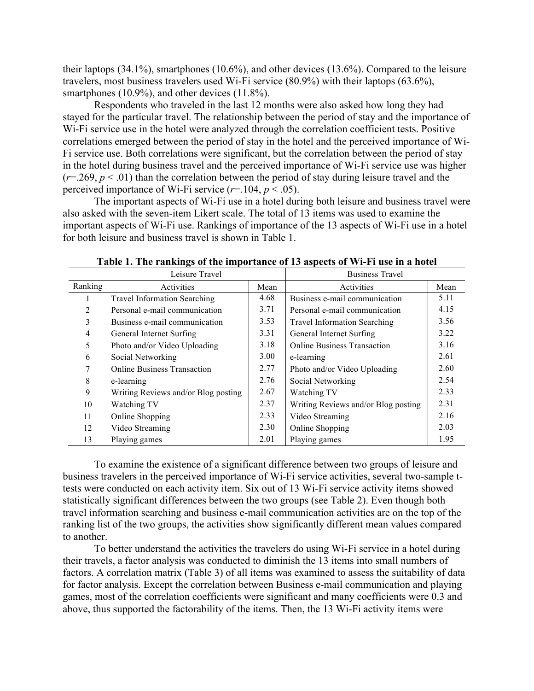their laptops (34.1%), smartphones (10.6%), and other devices (13.6%). Compared to the leisure travelers, most business travelers used Wi-Fi service (80.9%) with their laptops (63.6%), smartphones (10.9%), and other devices (11.8%).

Respondents who traveled in the last 12 months were also asked how long they had stayed for the particular travel. The relationship between the period of stay and the importance of Wi-Fi service use in the hotel were analyzed through the correlation coefficient tests. Positive correlations emerged between the period of stay in the hotel and the perceived importance of Wi-Fi service use. Both correlations were significant, but the correlation between the period of stay in the hotel during business travel and the perceived importance of Wi-Fi service use was higher  $(r=269, p<.01)$  than the correlation between the period of stay during leisure travel and the perceived importance of Wi-Fi service  $(r=104, p<.05)$ .

The important aspects of Wi-Fi use in a hotel during both leisure and business travel were also asked with the seven-item Likert scale. The total of 13 items was used to examine the important aspects of Wi-Fi use. Rankings of importance of the 13 aspects of Wi-Fi use in a hotel for both leisure and business travel is shown in Table 1.

|                | Leisure Travel                      | <b>Business Travel</b> |                                     |      |  |  |
|----------------|-------------------------------------|------------------------|-------------------------------------|------|--|--|
| Ranking        | Activities                          | Mean                   | Activities                          | Mean |  |  |
|                | <b>Travel Information Searching</b> | 4.68                   | Business e-mail communication       | 5.11 |  |  |
| $\mathfrak{D}$ | Personal e-mail communication       | 3.71                   | Personal e-mail communication       | 4.15 |  |  |
| 3              | Business e-mail communication       | 3.53                   | <b>Travel Information Searching</b> | 3.56 |  |  |
| 4              | General Internet Surfing            | 3.31                   | General Internet Surfing            | 3.22 |  |  |
| 5              | Photo and/or Video Uploading        | 3.18                   | <b>Online Business Transaction</b>  | 3.16 |  |  |
| 6              | Social Networking                   | 3.00                   | e-learning                          | 2.61 |  |  |
| 7              | <b>Online Business Transaction</b>  | 2.77                   | Photo and/or Video Uploading        | 2.60 |  |  |
| 8              | e-learning                          | 2.76                   | Social Networking                   | 2.54 |  |  |
| 9              | Writing Reviews and/or Blog posting | 2.67                   | Watching TV                         | 2.33 |  |  |
| 10             | Watching TV                         | 2.37                   | Writing Reviews and/or Blog posting | 2.31 |  |  |
| 11             | Online Shopping                     | 2.33                   | Video Streaming                     | 2.16 |  |  |
| 12             | Video Streaming                     | 2.30                   | Online Shopping                     | 2.03 |  |  |
| 13             | Playing games                       | 2.01                   | Playing games                       | 1.95 |  |  |

**Table 1. The rankings of the importance of 13 aspects of Wi-Fi use in a hotel**

To examine the existence of a significant difference between two groups of leisure and business travelers in the perceived importance of Wi-Fi service activities, several two-sample ttests were conducted on each activity item. Six out of 13 Wi-Fi service activity items showed statistically significant differences between the two groups (see Table 2). Even though both travel information searching and business e-mail communication activities are on the top of the ranking list of the two groups, the activities show significantly different mean values compared to another.

To better understand the activities the travelers do using Wi-Fi service in a hotel during their travels, a factor analysis was conducted to diminish the 13 items into small numbers of factors. A correlation matrix (Table 3) of all items was examined to assess the suitability of data for factor analysis. Except the correlation between Business e-mail communication and playing games, most of the correlation coefficients were significant and many coefficients were 0.3 and above, thus supported the factorability of the items. Then, the 13 Wi-Fi activity items were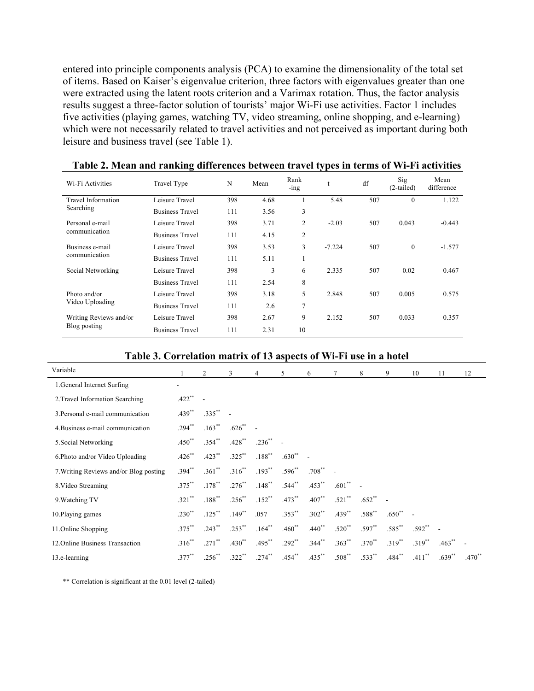entered into principle components analysis (PCA) to examine the dimensionality of the total set of items. Based on Kaiser's eigenvalue criterion, three factors with eigenvalues greater than one were extracted using the latent roots criterion and a Varimax rotation. Thus, the factor analysis results suggest a three-factor solution of tourists' major Wi-Fi use activities. Factor 1 includes five activities (playing games, watching TV, video streaming, online shopping, and e-learning) which were not necessarily related to travel activities and not perceived as important during both leisure and business travel (see Table 1).

| Wi-Fi Activities          | Travel Type            | N   | Mean | Rank<br>$-$ ing | t        | df  | Sig<br>$(2-tailed)$ | Mean<br>difference |
|---------------------------|------------------------|-----|------|-----------------|----------|-----|---------------------|--------------------|
| <b>Travel Information</b> | Leisure Travel         | 398 | 4.68 |                 | 5.48     | 507 | $\mathbf{0}$        | 1.122              |
| Searching                 | <b>Business Travel</b> | 111 | 3.56 | 3               |          |     |                     |                    |
| Personal e-mail           | Leisure Travel         | 398 | 3.71 | 2               | $-2.03$  | 507 | 0.043               | $-0.443$           |
| communication             | <b>Business Travel</b> | 111 | 4.15 | $\overline{2}$  |          |     |                     |                    |
| Business e-mail           | Leisure Travel         | 398 | 3.53 | 3               | $-7.224$ | 507 | $\mathbf{0}$        | $-1.577$           |
| communication             | <b>Business Travel</b> | 111 | 5.11 |                 |          |     |                     |                    |
| Social Networking         | Leisure Travel         | 398 | 3    | 6               | 2.335    | 507 | 0.02                | 0.467              |
|                           | <b>Business Travel</b> | 111 | 2.54 | 8               |          |     |                     |                    |
| Photo and/or              | Leisure Travel         | 398 | 3.18 | 5               | 2.848    | 507 | 0.005               | 0.575              |
| Video Uploading           | <b>Business Travel</b> | 111 | 2.6  | 7               |          |     |                     |                    |
| Writing Reviews and/or    | Leisure Travel         | 398 | 2.67 | 9               | 2.152    | 507 | 0.033               | 0.357              |
| Blog posting              | <b>Business Travel</b> | 111 | 2.31 | 10              |          |     |                     |                    |

|  | Table 2. Mean and ranking differences between travel types in terms of Wi-Fi activities |  |  |  |
|--|-----------------------------------------------------------------------------------------|--|--|--|
|  |                                                                                         |  |  |  |

## **Table 3. Correlation matrix of 13 aspects of Wi-Fi use in a hotel**

| Variable                               |             | 2           | 3           | 4           | 5           | 6           |           | 8        | 9           | 10        | 11       | 12       |
|----------------------------------------|-------------|-------------|-------------|-------------|-------------|-------------|-----------|----------|-------------|-----------|----------|----------|
| 1. General Internet Surfing            | -           |             |             |             |             |             |           |          |             |           |          |          |
| 2. Travel Information Searching        | $.422***$   |             |             |             |             |             |           |          |             |           |          |          |
| 3. Personal e-mail communication       | $.439**$    | $.335***$   |             |             |             |             |           |          |             |           |          |          |
| 4. Business e-mail communication       | $.294***$   | $.163**$    | $.626**$    |             |             |             |           |          |             |           |          |          |
| 5. Social Networking                   | $.450**$    | $.354**$    | $.428**$    | $.236^{**}$ |             |             |           |          |             |           |          |          |
| 6.Photo and/or Video Uploading         | $.426$ **   | $.423***$   | $.325***$   | $.188***$   | $.630**$    |             |           |          |             |           |          |          |
| 7. Writing Reviews and/or Blog posting | $.394***$   | $.361$ **   | $.316^{**}$ | $.193**$    | $.596^{**}$ | $.708^{**}$ |           |          |             |           |          |          |
| 8. Video Streaming                     | $.375***$   | $.178***$   | $.276^{**}$ | $.148***$   | $.544***$   | $.453***$   | $.601**$  |          |             |           |          |          |
| 9. Watching TV                         | $.321$ **   | $.188***$   | $.256^{**}$ | $.152**$    | $.473**$    | $.407**$    | $.521$ ** | $.652**$ |             |           |          |          |
| 10. Playing games                      | $.230**$    | $.125***$   | $.149**$    | .057        | $.353***$   | $.302**$    | $.439**$  | .588**   | $.650^{**}$ |           |          |          |
| 11. Online Shopping                    | $.375***$   | $.243***$   | $.253***$   | $.164***$   | $.460**$    | $.440**$    | $.520**$  | $.597**$ | $.585***$   | $.592$ ** |          |          |
| 12. Online Business Transaction        | $.316^{**}$ | $.271$ **   | $.430**$    | $.495***$   | $.292**$    | $.344**$    | $.363**$  | $.370**$ | $.319**$    | $.319**$  | $.463**$ |          |
| 13.e-learning                          | $.377***$   | $.256^{**}$ | $.322**$    | $.274***$   | $.454***$   | $.435***$   | $.508**$  | $.533**$ | $.484**$    | $.411***$ | $.639**$ | $.470**$ |

\*\* Correlation is significant at the 0.01 level (2-tailed)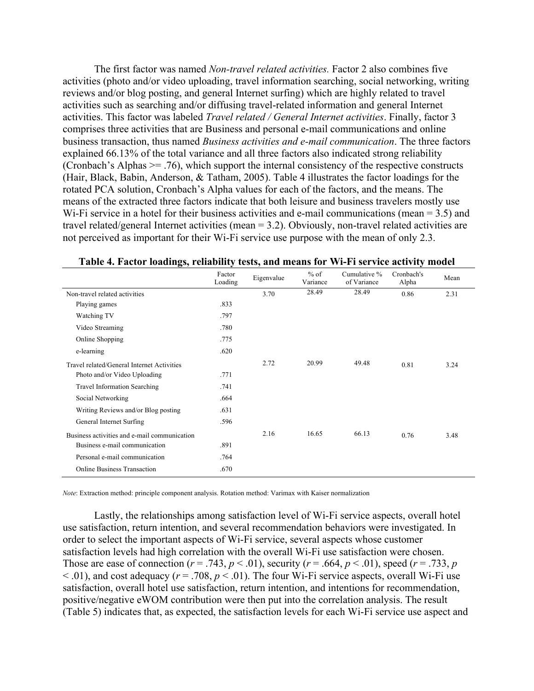The first factor was named *Non-travel related activities.* Factor 2 also combines five activities (photo and/or video uploading, travel information searching, social networking, writing reviews and/or blog posting, and general Internet surfing) which are highly related to travel activities such as searching and/or diffusing travel-related information and general Internet activities. This factor was labeled *Travel related / General Internet activities*. Finally, factor 3 comprises three activities that are Business and personal e-mail communications and online business transaction, thus named *Business activities and e-mail communication*. The three factors explained 66.13% of the total variance and all three factors also indicated strong reliability (Cronbach's Alphas >= .76), which support the internal consistency of the respective constructs (Hair, Black, Babin, Anderson, & Tatham, 2005). Table 4 illustrates the factor loadings for the rotated PCA solution, Cronbach's Alpha values for each of the factors, and the means. The means of the extracted three factors indicate that both leisure and business travelers mostly use Wi-Fi service in a hotel for their business activities and e-mail communications (mean  $= 3.5$ ) and travel related/general Internet activities (mean = 3.2). Obviously, non-travel related activities are not perceived as important for their Wi-Fi service use purpose with the mean of only 2.3.

|                                              | Factor<br>Loading | Eigenvalue | $%$ of<br>Variance | Cumulative %<br>of Variance | Cronbach's<br>Alpha | Mean |
|----------------------------------------------|-------------------|------------|--------------------|-----------------------------|---------------------|------|
| Non-travel related activities                |                   | 3.70       | 28.49              | 28.49                       | 0.86                | 2.31 |
| Playing games                                | .833              |            |                    |                             |                     |      |
| Watching TV                                  | .797              |            |                    |                             |                     |      |
| Video Streaming                              | .780              |            |                    |                             |                     |      |
| Online Shopping                              | .775              |            |                    |                             |                     |      |
| e-learning                                   | .620              |            |                    |                             |                     |      |
| Travel related/General Internet Activities   |                   | 2.72       | 20.99              | 49.48                       | 0.81                | 3.24 |
| Photo and/or Video Uploading                 | .771              |            |                    |                             |                     |      |
| <b>Travel Information Searching</b>          | .741              |            |                    |                             |                     |      |
| Social Networking                            | .664              |            |                    |                             |                     |      |
| Writing Reviews and/or Blog posting          | .631              |            |                    |                             |                     |      |
| General Internet Surfing                     | .596              |            |                    |                             |                     |      |
| Business activities and e-mail communication |                   | 2.16       | 16.65              | 66.13                       | 0.76                | 3.48 |
| Business e-mail communication                | .891              |            |                    |                             |                     |      |
| Personal e-mail communication                | .764              |            |                    |                             |                     |      |
| <b>Online Business Transaction</b>           | .670              |            |                    |                             |                     |      |

**Table 4. Factor loadings, reliability tests, and means for Wi-Fi service activity model** 

*Note*: Extraction method: principle component analysis. Rotation method: Varimax with Kaiser normalization

Lastly, the relationships among satisfaction level of Wi-Fi service aspects, overall hotel use satisfaction, return intention, and several recommendation behaviors were investigated. In order to select the important aspects of Wi-Fi service, several aspects whose customer satisfaction levels had high correlation with the overall Wi-Fi use satisfaction were chosen. Those are ease of connection ( $r = .743$ ,  $p < .01$ ), security ( $r = .664$ ,  $p < .01$ ), speed ( $r = .733$ ,  $p$  $(6.01)$ , and cost adequacy ( $r = .708$ ,  $p < .01$ ). The four Wi-Fi service aspects, overall Wi-Fi use satisfaction, overall hotel use satisfaction, return intention, and intentions for recommendation, positive/negative eWOM contribution were then put into the correlation analysis. The result (Table 5) indicates that, as expected, the satisfaction levels for each Wi-Fi service use aspect and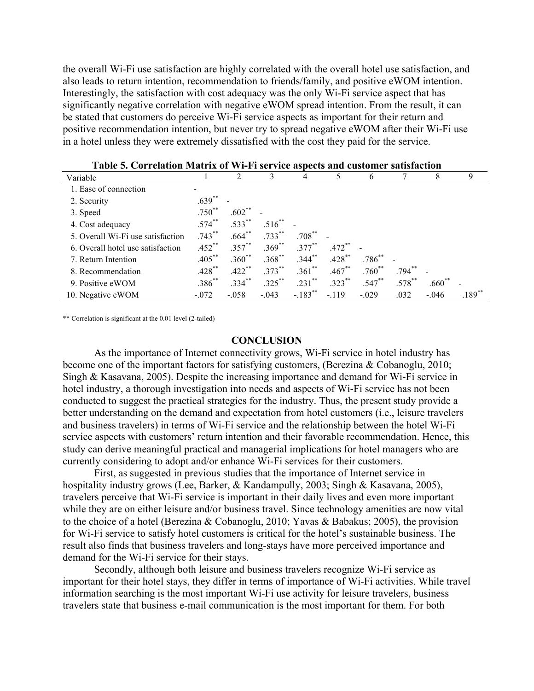the overall Wi-Fi use satisfaction are highly correlated with the overall hotel use satisfaction, and also leads to return intention, recommendation to friends/family, and positive eWOM intention. Interestingly, the satisfaction with cost adequacy was the only Wi-Fi service aspect that has significantly negative correlation with negative eWOM spread intention. From the result, it can be stated that customers do perceive Wi-Fi service aspects as important for their return and positive recommendation intention, but never try to spread negative eWOM after their Wi-Fi use in a hotel unless they were extremely dissatisfied with the cost they paid for the service.

| Table 9. Colletation matrix of Wi-Fi Service asbeets and customer satisfaction |                      |             |             |                       |           |             |           |          |           |  |
|--------------------------------------------------------------------------------|----------------------|-------------|-------------|-----------------------|-----------|-------------|-----------|----------|-----------|--|
| Variable                                                                       |                      |             |             | 4                     | 5         | 6           |           | 8        | 9         |  |
| 1. Ease of connection                                                          |                      |             |             |                       |           |             |           |          |           |  |
| 2. Security                                                                    | $.639**$             |             |             |                       |           |             |           |          |           |  |
| 3. Speed                                                                       | $.750^{**}$          | $.602$ **   |             |                       |           |             |           |          |           |  |
| 4. Cost adequacy                                                               | $.574***$            | $.533***$   | $.516^{+1}$ |                       |           |             |           |          |           |  |
| 5. Overall Wi-Fi use satisfaction                                              | $.743***$            | $.664***$   | $.733***$   | $.708***$             |           |             |           |          |           |  |
| 6. Overall hotel use satisfaction                                              | $.452$ **            | $.357***$   | $.369^{**}$ | $.377***$             | $.472$ ** |             |           |          |           |  |
| 7. Return Intention                                                            | $.405***$            | $.360^{**}$ | $.368$ **   | $.344$ **             | $.428$ ** | $.786^{**}$ |           |          |           |  |
| 8. Recommendation                                                              | $.428$ <sup>**</sup> | $.422$ **   | $.373***$   | $.361$ **             | $.467**$  | $.760**$    | $.794***$ |          |           |  |
| 9. Positive eWOM                                                               | $.386^{**}$          | $.334***$   | $.325***$   | $.231$ **             | $.323***$ | $.547**$    | $.578$ ** | $.660**$ |           |  |
| 10. Negative eWOM                                                              | $-.072$              | $-.058$     | $-.043$     | $-.183$ <sup>**</sup> | $-.119$   | $-.029$     | .032      | $-.046$  | $.189***$ |  |

**Table 5. Correlation Matrix of Wi-Fi service aspects and customer satisfaction**

\*\* Correlation is significant at the 0.01 level (2-tailed)

## **CONCLUSION**

As the importance of Internet connectivity grows, Wi-Fi service in hotel industry has become one of the important factors for satisfying customers, (Berezina & Cobanoglu, 2010; Singh & Kasavana, 2005). Despite the increasing importance and demand for Wi-Fi service in hotel industry, a thorough investigation into needs and aspects of Wi-Fi service has not been conducted to suggest the practical strategies for the industry. Thus, the present study provide a better understanding on the demand and expectation from hotel customers (i.e., leisure travelers and business travelers) in terms of Wi-Fi service and the relationship between the hotel Wi-Fi service aspects with customers' return intention and their favorable recommendation. Hence, this study can derive meaningful practical and managerial implications for hotel managers who are currently considering to adopt and/or enhance Wi-Fi services for their customers.

First, as suggested in previous studies that the importance of Internet service in hospitality industry grows (Lee, Barker, & Kandampully, 2003; Singh & Kasavana, 2005), travelers perceive that Wi-Fi service is important in their daily lives and even more important while they are on either leisure and/or business travel. Since technology amenities are now vital to the choice of a hotel (Berezina & Cobanoglu, 2010; Yavas & Babakus; 2005), the provision for Wi-Fi service to satisfy hotel customers is critical for the hotel's sustainable business. The result also finds that business travelers and long-stays have more perceived importance and demand for the Wi-Fi service for their stays.

Secondly, although both leisure and business travelers recognize Wi-Fi service as important for their hotel stays, they differ in terms of importance of Wi-Fi activities. While travel information searching is the most important Wi-Fi use activity for leisure travelers, business travelers state that business e-mail communication is the most important for them. For both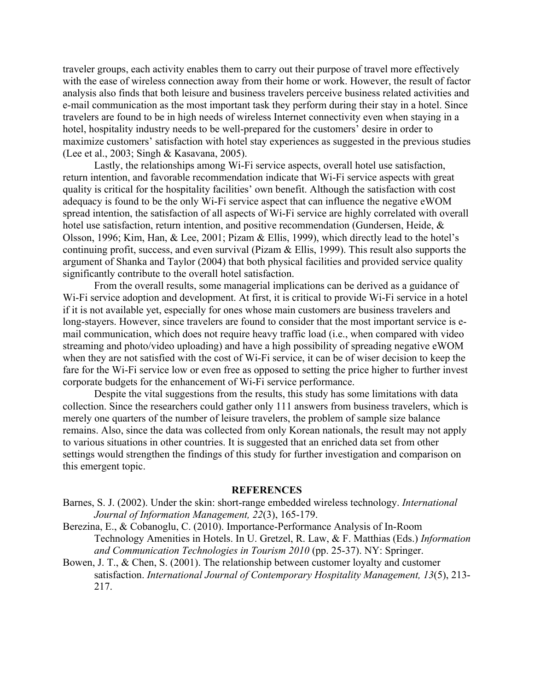traveler groups, each activity enables them to carry out their purpose of travel more effectively with the ease of wireless connection away from their home or work. However, the result of factor analysis also finds that both leisure and business travelers perceive business related activities and e-mail communication as the most important task they perform during their stay in a hotel. Since travelers are found to be in high needs of wireless Internet connectivity even when staying in a hotel, hospitality industry needs to be well-prepared for the customers' desire in order to maximize customers' satisfaction with hotel stay experiences as suggested in the previous studies (Lee et al., 2003; Singh & Kasavana, 2005).

Lastly, the relationships among Wi-Fi service aspects, overall hotel use satisfaction, return intention, and favorable recommendation indicate that Wi-Fi service aspects with great quality is critical for the hospitality facilities' own benefit. Although the satisfaction with cost adequacy is found to be the only Wi-Fi service aspect that can influence the negative eWOM spread intention, the satisfaction of all aspects of Wi-Fi service are highly correlated with overall hotel use satisfaction, return intention, and positive recommendation (Gundersen, Heide, & Olsson, 1996; Kim, Han, & Lee, 2001; Pizam & Ellis, 1999), which directly lead to the hotel's continuing profit, success, and even survival (Pizam & Ellis, 1999). This result also supports the argument of Shanka and Taylor (2004) that both physical facilities and provided service quality significantly contribute to the overall hotel satisfaction.

From the overall results, some managerial implications can be derived as a guidance of Wi-Fi service adoption and development. At first, it is critical to provide Wi-Fi service in a hotel if it is not available yet, especially for ones whose main customers are business travelers and long-stayers. However, since travelers are found to consider that the most important service is email communication, which does not require heavy traffic load (i.e., when compared with video streaming and photo/video uploading) and have a high possibility of spreading negative eWOM when they are not satisfied with the cost of Wi-Fi service, it can be of wiser decision to keep the fare for the Wi-Fi service low or even free as opposed to setting the price higher to further invest corporate budgets for the enhancement of Wi-Fi service performance.

Despite the vital suggestions from the results, this study has some limitations with data collection. Since the researchers could gather only 111 answers from business travelers, which is merely one quarters of the number of leisure travelers, the problem of sample size balance remains. Also, since the data was collected from only Korean nationals, the result may not apply to various situations in other countries. It is suggested that an enriched data set from other settings would strengthen the findings of this study for further investigation and comparison on this emergent topic.

## **REFERENCES**

- Barnes, S. J. (2002). Under the skin: short-range embedded wireless technology. *International Journal of Information Management, 22*(3), 165-179.
- Berezina, E., & Cobanoglu, C. (2010). Importance-Performance Analysis of In-Room Technology Amenities in Hotels. In U. Gretzel, R. Law, & F. Matthias (Eds.) *Information and Communication Technologies in Tourism 2010* (pp. 25-37). NY: Springer.
- Bowen, J. T., & Chen, S. (2001). The relationship between customer loyalty and customer satisfaction. *International Journal of Contemporary Hospitality Management, 13*(5), 213- 217.